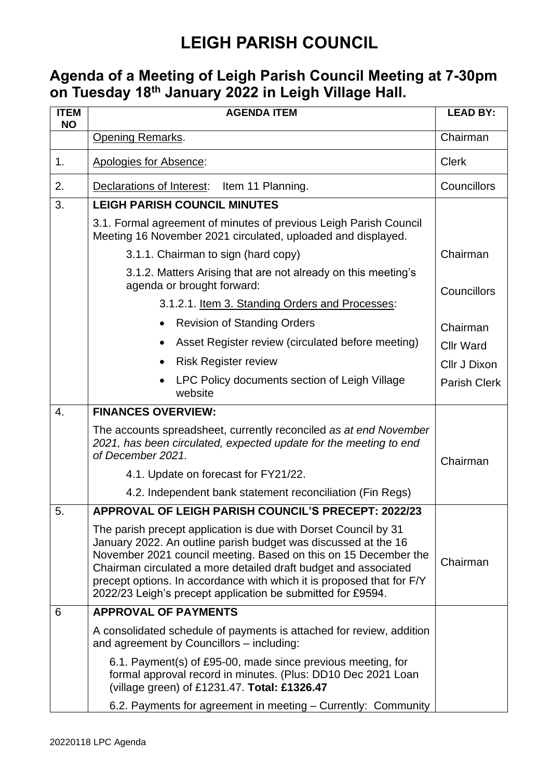## **LEIGH PARISH COUNCIL**

## **Agenda of a Meeting of Leigh Parish Council Meeting at 7-30pm on Tuesday 18 th January 2022 in Leigh Village Hall.**

| <b>ITEM</b><br><b>NO</b> | <b>AGENDA ITEM</b>                                                                                                                                                                                                                                                                                                                                                                                              | <b>LEAD BY:</b>     |
|--------------------------|-----------------------------------------------------------------------------------------------------------------------------------------------------------------------------------------------------------------------------------------------------------------------------------------------------------------------------------------------------------------------------------------------------------------|---------------------|
|                          | <b>Opening Remarks.</b>                                                                                                                                                                                                                                                                                                                                                                                         | Chairman            |
| 1.                       | Apologies for Absence:                                                                                                                                                                                                                                                                                                                                                                                          | <b>Clerk</b>        |
| 2.                       | Declarations of Interest:<br>Item 11 Planning.                                                                                                                                                                                                                                                                                                                                                                  | Councillors         |
| 3.                       | <b>LEIGH PARISH COUNCIL MINUTES</b>                                                                                                                                                                                                                                                                                                                                                                             |                     |
|                          | 3.1. Formal agreement of minutes of previous Leigh Parish Council<br>Meeting 16 November 2021 circulated, uploaded and displayed.                                                                                                                                                                                                                                                                               |                     |
|                          | 3.1.1. Chairman to sign (hard copy)                                                                                                                                                                                                                                                                                                                                                                             | Chairman            |
|                          | 3.1.2. Matters Arising that are not already on this meeting's<br>agenda or brought forward:                                                                                                                                                                                                                                                                                                                     | Councillors         |
|                          | 3.1.2.1. Item 3. Standing Orders and Processes:                                                                                                                                                                                                                                                                                                                                                                 |                     |
|                          | <b>Revision of Standing Orders</b>                                                                                                                                                                                                                                                                                                                                                                              | Chairman            |
|                          | Asset Register review (circulated before meeting)<br>$\bullet$                                                                                                                                                                                                                                                                                                                                                  | <b>Cllr Ward</b>    |
|                          | <b>Risk Register review</b><br>$\bullet$                                                                                                                                                                                                                                                                                                                                                                        | Cllr J Dixon        |
|                          | LPC Policy documents section of Leigh Village<br>website                                                                                                                                                                                                                                                                                                                                                        | <b>Parish Clerk</b> |
| 4.                       | <b>FINANCES OVERVIEW:</b>                                                                                                                                                                                                                                                                                                                                                                                       |                     |
|                          | The accounts spreadsheet, currently reconciled as at end November<br>2021, has been circulated, expected update for the meeting to end<br>of December 2021.                                                                                                                                                                                                                                                     | Chairman            |
|                          | 4.1. Update on forecast for FY21/22.                                                                                                                                                                                                                                                                                                                                                                            |                     |
|                          | 4.2. Independent bank statement reconciliation (Fin Regs)                                                                                                                                                                                                                                                                                                                                                       |                     |
| 5.                       | APPROVAL OF LEIGH PARISH COUNCIL'S PRECEPT: 2022/23                                                                                                                                                                                                                                                                                                                                                             |                     |
|                          | The parish precept application is due with Dorset Council by 31<br>January 2022. An outline parish budget was discussed at the 16<br>November 2021 council meeting. Based on this on 15 December the<br>Chairman circulated a more detailed draft budget and associated<br>precept options. In accordance with which it is proposed that for F/Y<br>2022/23 Leigh's precept application be submitted for £9594. | Chairman            |
| 6                        | <b>APPROVAL OF PAYMENTS</b>                                                                                                                                                                                                                                                                                                                                                                                     |                     |
|                          | A consolidated schedule of payments is attached for review, addition<br>and agreement by Councillors – including:                                                                                                                                                                                                                                                                                               |                     |
|                          | 6.1. Payment(s) of £95-00, made since previous meeting, for<br>formal approval record in minutes. (Plus: DD10 Dec 2021 Loan<br>(village green) of £1231.47. Total: £1326.47                                                                                                                                                                                                                                     |                     |
|                          | 6.2. Payments for agreement in meeting - Currently: Community                                                                                                                                                                                                                                                                                                                                                   |                     |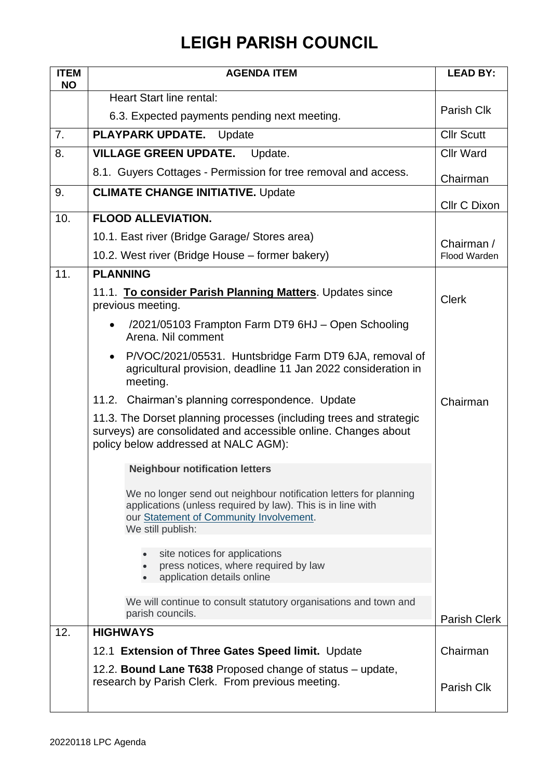## **LEIGH PARISH COUNCIL**

| <b>ITEM</b><br><b>NO</b> | <b>AGENDA ITEM</b>                                                                                                                                                                               | <b>LEAD BY:</b>     |
|--------------------------|--------------------------------------------------------------------------------------------------------------------------------------------------------------------------------------------------|---------------------|
|                          | <b>Heart Start line rental:</b>                                                                                                                                                                  |                     |
|                          | 6.3. Expected payments pending next meeting.                                                                                                                                                     | Parish Clk          |
| 7.                       | <b>PLAYPARK UPDATE.</b><br>Update                                                                                                                                                                | <b>Cllr Scutt</b>   |
| 8.                       | <b>VILLAGE GREEN UPDATE.</b> Update.                                                                                                                                                             | <b>Cllr Ward</b>    |
|                          | 8.1. Guyers Cottages - Permission for tree removal and access.                                                                                                                                   | Chairman            |
| 9.                       | <b>CLIMATE CHANGE INITIATIVE. Update</b>                                                                                                                                                         | <b>Cllr C Dixon</b> |
| 10.                      | <b>FLOOD ALLEVIATION.</b>                                                                                                                                                                        |                     |
|                          | 10.1. East river (Bridge Garage/ Stores area)                                                                                                                                                    | Chairman /          |
|                          | 10.2. West river (Bridge House – former bakery)                                                                                                                                                  | Flood Warden        |
| 11.                      | <b>PLANNING</b>                                                                                                                                                                                  |                     |
|                          | 11.1. To consider Parish Planning Matters. Updates since<br>previous meeting.                                                                                                                    | <b>Clerk</b>        |
|                          | /2021/05103 Frampton Farm DT9 6HJ - Open Schooling<br>Arena. Nil comment                                                                                                                         |                     |
|                          | P/VOC/2021/05531. Huntsbridge Farm DT9 6JA, removal of<br>$\bullet$<br>agricultural provision, deadline 11 Jan 2022 consideration in<br>meeting.                                                 |                     |
|                          | 11.2. Chairman's planning correspondence. Update                                                                                                                                                 | Chairman            |
|                          | 11.3. The Dorset planning processes (including trees and strategic<br>surveys) are consolidated and accessible online. Changes about<br>policy below addressed at NALC AGM):                     |                     |
|                          | <b>Neighbour notification letters</b>                                                                                                                                                            |                     |
|                          | We no longer send out neighbour notification letters for planning<br>applications (unless required by law). This is in line with<br>our Statement of Community Involvement.<br>We still publish: |                     |
|                          | site notices for applications<br>press notices, where required by law<br>application details online                                                                                              |                     |
|                          | We will continue to consult statutory organisations and town and<br>parish councils.                                                                                                             | <b>Parish Clerk</b> |
| 12.                      | <b>HIGHWAYS</b>                                                                                                                                                                                  |                     |
|                          | 12.1 Extension of Three Gates Speed limit. Update                                                                                                                                                | Chairman            |
|                          | 12.2. Bound Lane T638 Proposed change of status – update,<br>research by Parish Clerk. From previous meeting.                                                                                    | Parish Clk          |